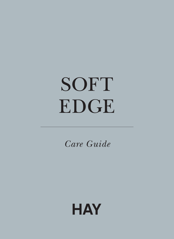# SOFT EDGE

*Care Guide*

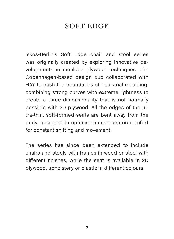## SOFT EDGE

Iskos-Berlin's Soft Edge chair and stool series was originally created by exploring innovative developments in moulded plywood techniques. The Copenhagen-based design duo collaborated with HAY to push the boundaries of industrial moulding, combining strong curves with extreme lightness to create a three-dimensionality that is not normally possible with 2D plywood. All the edges of the ultra-thin, soft-formed seats are bent away from the body, designed to optimise human-centric comfort for constant shifting and movement.

The series has since been extended to include chairs and stools with frames in wood or steel with different finishes, while the seat is available in 2D plywood, upholstery or plastic in different colours.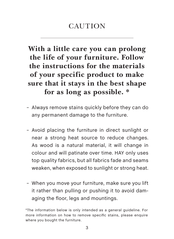## **CAUTION**

**With a little care you can prolong the life of your furniture. Follow the instructions for the materials of your specific product to make sure that it stays in the best shape for as long as possible. \*** 

- − Always remove stains quickly before they can do any permanent damage to the furniture.
- − Avoid placing the furniture in direct sunlight or near a strong heat source to reduce changes. As wood is a natural material, it will change in colour and will patinate over time. HAY only uses top quality fabrics, but all fabrics fade and seams weaken, when exposed to sunlight or strong heat.
- − When you move your furniture, make sure you lift it rather than pulling or pushing it to avoid damaging the floor, legs and mountings.

<sup>\*</sup>The information below is only intended as a general guideline. For more information on how to remove specific stains, please enquire where you bought the furniture.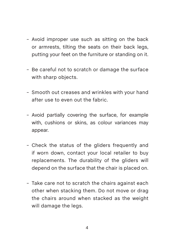- − Avoid improper use such as sitting on the back or armrests, tilting the seats on their back legs, putting your feet on the furniture or standing on it.
- − Be careful not to scratch or damage the surface with sharp objects.
- − Smooth out creases and wrinkles with your hand after use to even out the fabric.
- − Avoid partially covering the surface, for example with, cushions or skins, as colour variances may appear.
- − Check the status of the gliders frequently and if worn down, contact your local retailer to buy replacements. The durability of the gliders will depend on the surface that the chair is placed on.
- − Take care not to scratch the chairs against each other when stacking them. Do not move or drag the chairs around when stacked as the weight will damage the legs.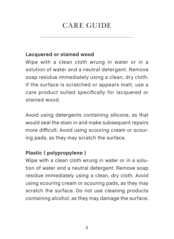## CARE GUIDE

#### **Lacquered or stained wood**

Wipe with a clean cloth wrung in water or in a solution of water and a neutral detergent. Remove soap residue immediately using a clean, dry cloth. If the surface is scratched or appears matt, use a care product suited specifically for lacquered or stained wood.

Avoid using detergents containing silicone, as that would seal the stain in and make subsequent repairs more difficult. Avoid using scouring cream or scouring pads, as they may scratch the surface.

### **Plastic ( polypropylene )**

Wipe with a clean cloth wrung in water or in a solution of water and a neutral detergent. Remove soap residue immediately using a clean, dry cloth. Avoid using scouring cream or scouring pads, as they may scratch the surface. Do not use cleaning products containing alcohol, as they may damage the surface.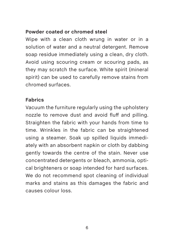#### **Powder coated or chromed steel**

Wipe with a clean cloth wrung in water or in a solution of water and a neutral detergent. Remove soap residue immediately using a clean, dry cloth. Avoid using scouring cream or scouring pads, as they may scratch the surface. White spirit (mineral spirit) can be used to carefully remove stains from chromed surfaces.

#### **Fabrics**

Vacuum the furniture regularly using the upholstery nozzle to remove dust and avoid fluff and pilling. Straighten the fabric with your hands from time to time. Wrinkles in the fabric can be straightened using a steamer. Soak up spilled liquids immediately with an absorbent napkin or cloth by dabbing gently towards the centre of the stain. Never use concentrated detergents or bleach, ammonia, optical brighteners or soap intended for hard surfaces. We do not recommend spot cleaning of individual marks and stains as this damages the fabric and causes colour loss.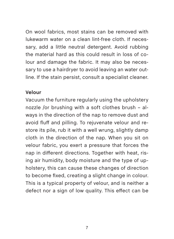On wool fabrics, most stains can be removed with lukewarm water on a clean lint-free cloth. If necessary, add a little neutral detergent. Avoid rubbing the material hard as this could result in loss of colour and damage the fabric. It may also be necessary to use a hairdryer to avoid leaving an water outline. If the stain persist, consult a specialist cleaner.

#### **Velour**

Vacuum the furniture regularly using the upholstery nozzle /or brushing with a soft clothes brush – always in the direction of the nap to remove dust and avoid fluff and pilling. To rejuvenate velour and restore its pile, rub it with a well wrung, slightly damp cloth in the direction of the nap. When you sit on velour fabric, you exert a pressure that forces the nap in different directions. Together with heat, rising air humidity, body moisture and the type of upholstery, this can cause these changes of direction to become fixed, creating a slight change in colour. This is a typical property of velour, and is neither a defect nor a sign of low quality. This effect can be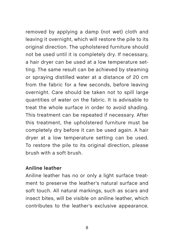removed by applying a damp (not wet) cloth and leaving it overnight, which will restore the pile to its original direction. The upholstered furniture should not be used until it is completely dry. If necessary, a hair dryer can be used at a low temperature setting. The same result can be achieved by steaming or spraying distilled water at a distance of 20 cm from the fabric for a few seconds, before leaving overnight. Care should be taken not to spill large quantities of water on the fabric. It is advisable to treat the whole surface in order to avoid shading. This treatment can be repeated if necessary. After this treatment, the upholstered furniture must be completely dry before it can be used again. A hair dryer at a low temperature setting can be used. To restore the pile to its original direction, please brush with a soft brush.

#### **Aniline leather**

Aniline leather has no or only a light surface treatment to preserve the leather's natural surface and soft touch. All natural markings, such as scars and insect bites, will be visible on aniline leather, which contributes to the leather's exclusive appearance.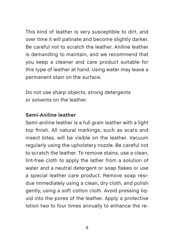This kind of leather is very susceptible to dirt, and over time it will patinate and become slightly darker. Be careful not to scratch the leather. Aniline leather is demanding to maintain, and we recommend that you keep a cleaner and care product suitable for this type of leather at hand. Using water may leave a permanent stain on the surface.

Do not use sharp objects, strong detergents or solvents on the leather.

#### **Semi-Aniline leather**

Semi-aniline leather is a full grain leather with a light top finish. All natural markings, such as scars and insect bites, will be visible on the leather. Vacuum regularly using the upholstery nozzle. Be careful not to scratch the leather. To remove stains, use a clean, lint-free cloth to apply the lather from a solution of water and a neutral detergent or soap flakes or use a special leather care product. Remove soap residue immediately using a clean, dry cloth, and polish gently, using a soft cotton cloth. Avoid pressing liquid into the pores of the leather. Apply a protective lotion two to four times annually to enhance the re